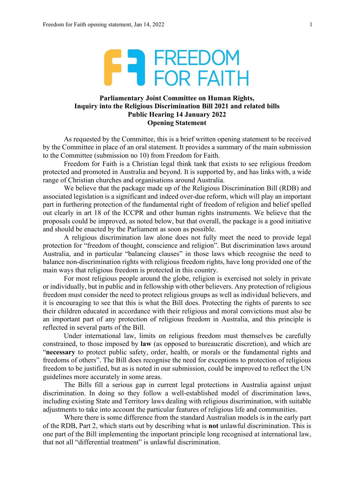

## **Parliamentary Joint Committee on Human Rights, Inquiry into the Religious Discrimination Bill 2021 and related bills Public Hearing 14 January 2022 Opening Statement**

As requested by the Committee, this is a brief written opening statement to be received by the Committee in place of an oral statement. It provides a summary of the main submission to the Committee (submission no 10) from Freedom for Faith.

Freedom for Faith is a Christian legal think tank that exists to see religious freedom protected and promoted in Australia and beyond. It is supported by, and has links with, a wide range of Christian churches and organisations around Australia.

We believe that the package made up of the Religious Discrimination Bill (RDB) and associated legislation is a significant and indeed over-due reform, which will play an important part in furthering protection of the fundamental right of freedom of religion and belief spelled out clearly in art 18 of the ICCPR and other human rights instruments. We believe that the proposals could be improved, as noted below, but that overall, the package is a good initiative and should be enacted by the Parliament as soon as possible.

A religious discrimination law alone does not fully meet the need to provide legal protection for "freedom of thought, conscience and religion". But discrimination laws around Australia, and in particular "balancing clauses" in those laws which recognise the need to balance non-discrimination rights with religious freedom rights, have long provided one of the main ways that religious freedom is protected in this country.

For most religious people around the globe, religion is exercised not solely in private or individually, but in public and in fellowship with other believers. Any protection of religious freedom must consider the need to protect religious groups as well as individual believers, and it is encouraging to see that this is what the Bill does. Protecting the rights of parents to see their children educated in accordance with their religious and moral convictions must also be an important part of any protection of religious freedom in Australia, and this principle is reflected in several parts of the Bill.

Under international law, limits on religious freedom must themselves be carefully constrained, to those imposed by **law** (as opposed to bureaucratic discretion), and which are "**necessary** to protect public safety, order, health, or morals or the fundamental rights and freedoms of others". The Bill does recognise the need for exceptions to protection of religious freedom to be justified, but as is noted in our submission, could be improved to reflect the UN guidelines more accurately in some areas.

The Bills fill a serious gap in current legal protections in Australia against unjust discrimination. In doing so they follow a well-established model of discrimination laws, including existing State and Territory laws dealing with religious discrimination, with suitable adjustments to take into account the particular features of religious life and communities.

Where there is some difference from the standard Australian models is in the early part of the RDB, Part 2, which starts out by describing what is **not** unlawful discrimination. This is one part of the Bill implementing the important principle long recognised at international law, that not all "differential treatment" is unlawful discrimination.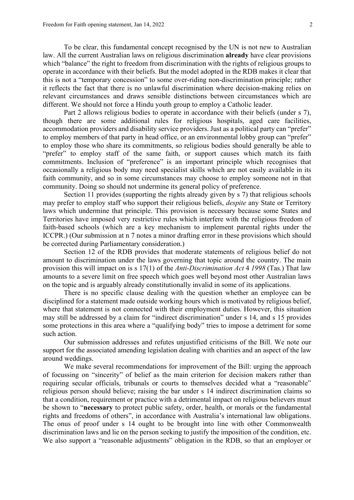To be clear, this fundamental concept recognised by the UN is not new to Australian law. All the current Australian laws on religious discrimination **already** have clear provisions which "balance" the right to freedom from discrimination with the rights of religious groups to operate in accordance with their beliefs. But the model adopted in the RDB makes it clear that this is not a "temporary concession" to some over-riding non-discrimination principle; rather it reflects the fact that there is no unlawful discrimination where decision-making relies on relevant circumstances and draws sensible distinctions between circumstances which are different. We should not force a Hindu youth group to employ a Catholic leader.

Part 2 allows religious bodies to operate in accordance with their beliefs (under s 7), though there are some additional rules for religious hospitals, aged care facilities, accommodation providers and disability service providers. Just as a political party can "prefer" to employ members of that party in head office, or an environmental lobby group can "prefer" to employ those who share its commitments, so religious bodies should generally be able to "prefer" to employ staff of the same faith, or support causes which match its faith commitments. Inclusion of "preference" is an important principle which recognises that occasionally a religious body may need specialist skills which are not easily available in its faith community, and so in some circumstances may choose to employ someone not in that community. Doing so should not undermine its general policy of preference.

Section 11 provides (supporting the rights already given by s 7) that religious schools may prefer to employ staff who support their religious beliefs, *despite* any State or Territory laws which undermine that principle. This provision is necessary because some States and Territories have imposed very restrictive rules which interfere with the religious freedom of faith-based schools (which are a key mechanism to implement parental rights under the ICCPR.) (Our submission at n 7 notes a minor drafting error in these provisions which should be corrected during Parliamentary consideration.)

Section 12 of the RDB provides that moderate statements of religious belief do not amount to discrimination under the laws governing that topic around the country. The main provision this will impact on is s 17(1) of the *Anti-Discrimination Act* 4 *1998* (Tas.) That law amounts to a severe limit on free speech which goes well beyond most other Australian laws on the topic and is arguably already constitutionally invalid in some of its applications.

There is no specific clause dealing with the question whether an employee can be disciplined for a statement made outside working hours which is motivated by religious belief, where that statement is not connected with their employment duties. However, this situation may still be addressed by a claim for "indirect discrimination" under s 14, and s 15 provides some protections in this area where a "qualifying body" tries to impose a detriment for some such action.

Our submission addresses and refutes unjustified criticisms of the Bill. We note our support for the associated amending legislation dealing with charities and an aspect of the law around weddings.

We make several recommendations for improvement of the Bill: urging the approach of focussing on "sincerity" of belief as the main criterion for decision makers rather than requiring secular officials, tribunals or courts to themselves decided what a "reasonable" religious person should believe; raising the bar under s 14 indirect discrimination claims so that a condition, requirement or practice with a detrimental impact on religious believers must be shown to "**necessary** to protect public safety, order, health, or morals or the fundamental rights and freedoms of others", in accordance with Australia's international law obligations. The onus of proof under s 14 ought to be brought into line with other Commonwealth discrimination laws and lie on the person seeking to justify the imposition of the condition, etc. We also support a "reasonable adjustments" obligation in the RDB, so that an employer or